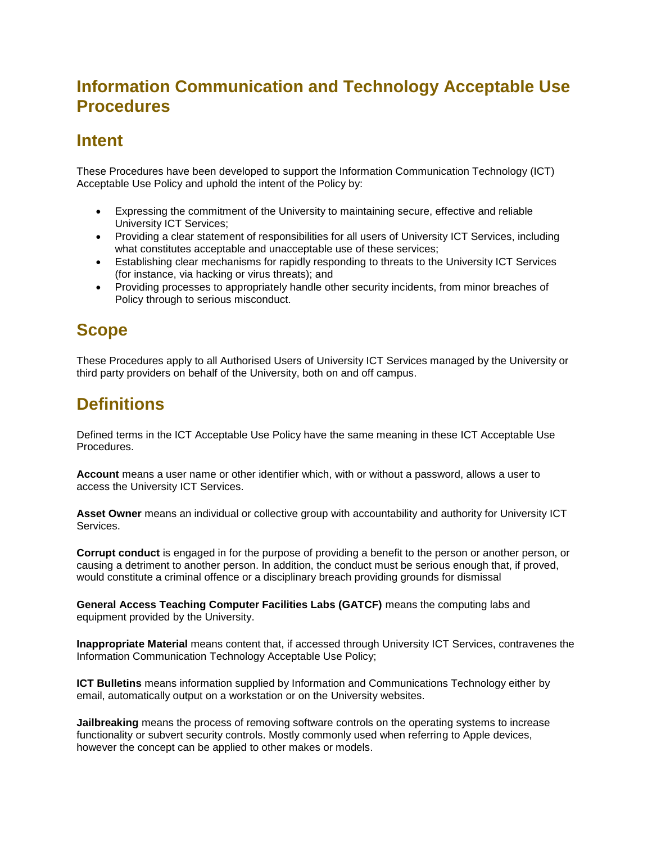## **Information Communication and Technology Acceptable Use Procedures**

### **Intent**

These Procedures have been developed to support the Information Communication Technology (ICT) Acceptable Use Policy and uphold the intent of the Policy by:

- Expressing the commitment of the University to maintaining secure, effective and reliable University ICT Services;
- Providing a clear statement of responsibilities for all users of University ICT Services, including what constitutes acceptable and unacceptable use of these services;
- Establishing clear mechanisms for rapidly responding to threats to the University ICT Services (for instance, via hacking or virus threats); and
- Providing processes to appropriately handle other security incidents, from minor breaches of Policy through to serious misconduct.

## **Scope**

These Procedures apply to all Authorised Users of University ICT Services managed by the University or third party providers on behalf of the University, both on and off campus.

# **Definitions**

Defined terms in the ICT Acceptable Use Policy have the same meaning in these ICT Acceptable Use Procedures.

**Account** means a user name or other identifier which, with or without a password, allows a user to access the University ICT Services.

**Asset Owner** means an individual or collective group with accountability and authority for University ICT Services.

**Corrupt conduct** is engaged in for the purpose of providing a benefit to the person or another person, or causing a detriment to another person. In addition, the conduct must be serious enough that, if proved, would constitute a criminal offence or a disciplinary breach providing grounds for dismissal

**General Access Teaching Computer Facilities Labs (GATCF)** means the computing labs and equipment provided by the University.

**Inappropriate Material** means content that, if accessed through University ICT Services, contravenes the Information Communication Technology Acceptable Use Policy;

**ICT Bulletins** means information supplied by Information and Communications Technology either by email, automatically output on a workstation or on the University websites.

**Jailbreaking** means the process of removing software controls on the operating systems to increase functionality or subvert security controls. Mostly commonly used when referring to Apple devices, however the concept can be applied to other makes or models.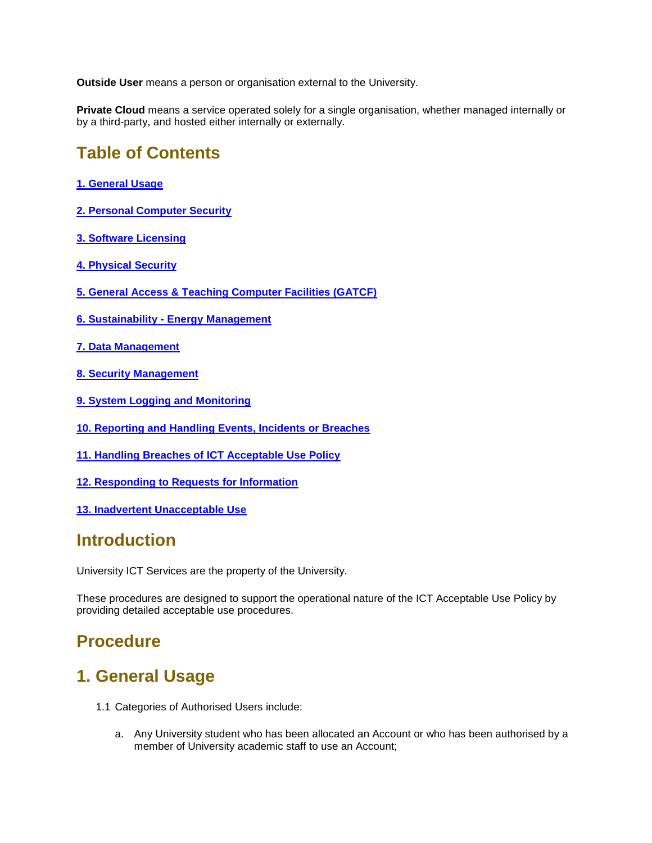**Outside User** means a person or organisation external to the University.

**Private Cloud** means a service operated solely for a single organisation, whether managed internally or by a third-party, and hosted either internally or externally.

### **Table of Contents**

- **[1. General Usage](#page-1-0)**
- **[2. Personal Computer Security](#page-2-0)**
- **[3. Software Licensing](#page-3-0)**
- **[4. Physical Security](#page-3-1)**
- **[5. General Access & Teaching Computer Facilities \(GATCF\)](#page-3-2)**
- **6. Sustainability - [Energy Management](#page-4-0)**
- **[7. Data Management](#page-4-1)**
- **[8. Security Management](#page-4-2)**
- **[9. System Logging and Monitoring](#page-5-0)**
- **[10. Reporting and Handling Events, Incidents or Breaches](#page-6-0)**
- **[11. Handling Breaches of ICT Acceptable Use Policy](#page-6-1)**
- **[12. Responding to Requests for Information](#page-7-0)**
- **[13. Inadvertent Unacceptable Use](#page-7-1)**

### **Introduction**

University ICT Services are the property of the University.

These procedures are designed to support the operational nature of the ICT Acceptable Use Policy by providing detailed acceptable use procedures.

## **Procedure**

### <span id="page-1-0"></span>**1. General Usage**

- 1.1 Categories of Authorised Users include:
	- a. Any University student who has been allocated an Account or who has been authorised by a member of University academic staff to use an Account;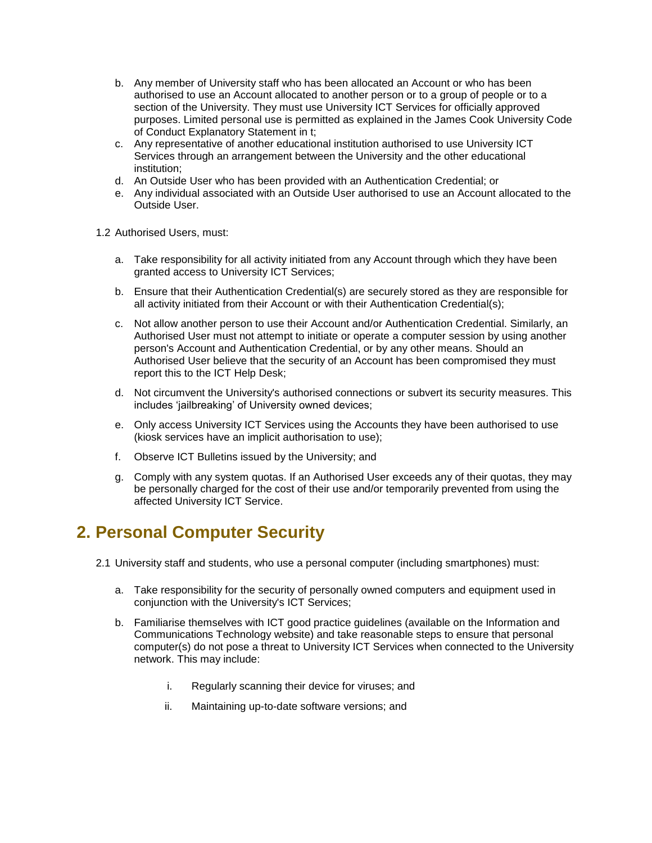- b. Any member of University staff who has been allocated an Account or who has been authorised to use an Account allocated to another person or to a group of people or to a section of the University. They must use University ICT Services for officially approved purposes. Limited personal use is permitted as explained in the James Cook University Code of Conduct Explanatory Statement in t;
- c. Any representative of another educational institution authorised to use University ICT Services through an arrangement between the University and the other educational institution;
- d. An Outside User who has been provided with an Authentication Credential; or
- e. Any individual associated with an Outside User authorised to use an Account allocated to the Outside User.
- 1.2 Authorised Users, must:
	- a. Take responsibility for all activity initiated from any Account through which they have been granted access to University ICT Services;
	- b. Ensure that their Authentication Credential(s) are securely stored as they are responsible for all activity initiated from their Account or with their Authentication Credential(s);
	- c. Not allow another person to use their Account and/or Authentication Credential. Similarly, an Authorised User must not attempt to initiate or operate a computer session by using another person's Account and Authentication Credential, or by any other means. Should an Authorised User believe that the security of an Account has been compromised they must report this to the ICT Help Desk;
	- d. Not circumvent the University's authorised connections or subvert its security measures. This includes 'jailbreaking' of University owned devices;
	- e. Only access University ICT Services using the Accounts they have been authorised to use (kiosk services have an implicit authorisation to use);
	- f. Observe ICT Bulletins issued by the University; and
	- g. Comply with any system quotas. If an Authorised User exceeds any of their quotas, they may be personally charged for the cost of their use and/or temporarily prevented from using the affected University ICT Service.

### <span id="page-2-0"></span>**2. Personal Computer Security**

- 2.1 University staff and students, who use a personal computer (including smartphones) must:
	- a. Take responsibility for the security of personally owned computers and equipment used in conjunction with the University's ICT Services;
	- b. Familiarise themselves with ICT good practice guidelines (available on the Information and Communications Technology website) and take reasonable steps to ensure that personal computer(s) do not pose a threat to University ICT Services when connected to the University network. This may include:
		- i. Regularly scanning their device for viruses; and
		- ii. Maintaining up-to-date software versions; and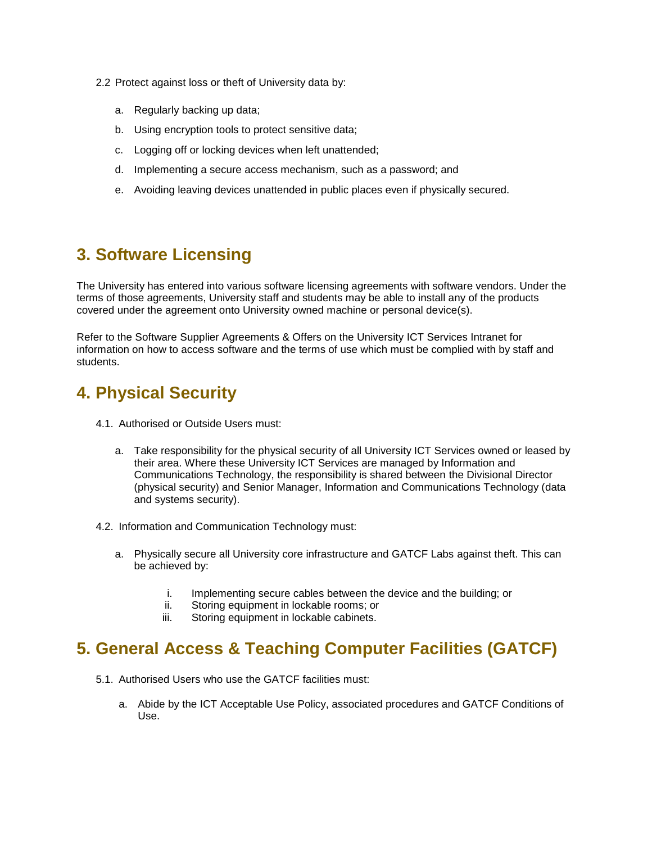- 2.2 Protect against loss or theft of University data by:
	- a. Regularly backing up data;
	- b. Using encryption tools to protect sensitive data;
	- c. Logging off or locking devices when left unattended;
	- d. Implementing a secure access mechanism, such as a password; and
	- e. Avoiding leaving devices unattended in public places even if physically secured.

## <span id="page-3-0"></span>**3. Software Licensing**

The University has entered into various software licensing agreements with software vendors. Under the terms of those agreements, University staff and students may be able to install any of the products covered under the agreement onto University owned machine or personal device(s).

Refer to the Software Supplier Agreements & Offers on the University ICT Services Intranet for information on how to access software and the terms of use which must be complied with by staff and students.

### <span id="page-3-1"></span>**4. Physical Security**

- 4.1. Authorised or Outside Users must:
	- a. Take responsibility for the physical security of all University ICT Services owned or leased by their area. Where these University ICT Services are managed by Information and Communications Technology, the responsibility is shared between the Divisional Director (physical security) and Senior Manager, Information and Communications Technology (data and systems security).
- 4.2. Information and Communication Technology must:
	- a. Physically secure all University core infrastructure and GATCF Labs against theft. This can be achieved by:
		- i. Implementing secure cables between the device and the building; or
		- ii. Storing equipment in lockable rooms; or
		- iii. Storing equipment in lockable cabinets.

## <span id="page-3-2"></span>**5. General Access & Teaching Computer Facilities (GATCF)**

- 5.1. Authorised Users who use the GATCF facilities must:
	- a. Abide by the ICT Acceptable Use Policy, associated procedures and GATCF Conditions of Use.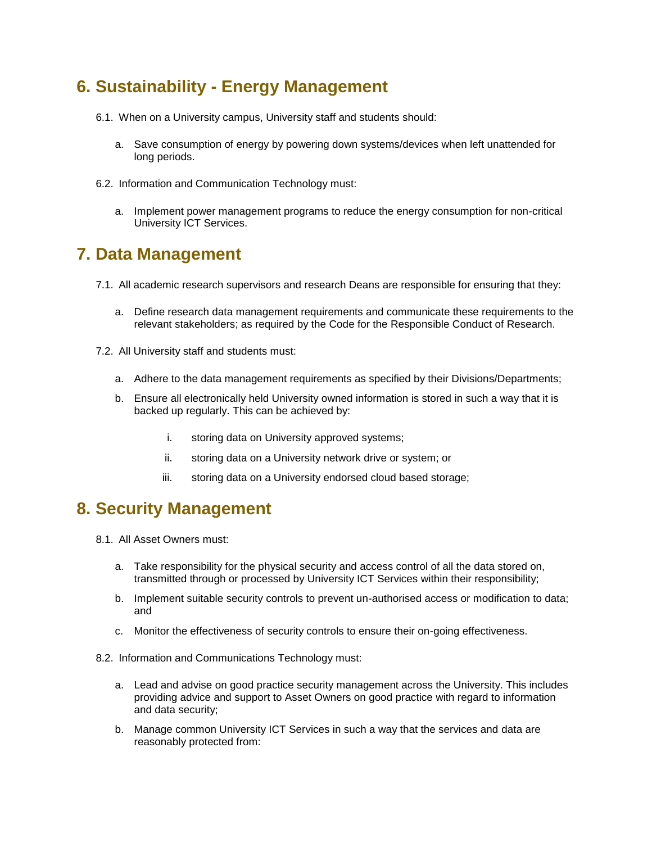## <span id="page-4-0"></span>**6. Sustainability - Energy Management**

- 6.1. When on a University campus, University staff and students should:
	- a. Save consumption of energy by powering down systems/devices when left unattended for long periods.
- 6.2. Information and Communication Technology must:
	- a. Implement power management programs to reduce the energy consumption for non-critical University ICT Services.

### <span id="page-4-1"></span>**7. Data Management**

- 7.1. All academic research supervisors and research Deans are responsible for ensuring that they:
	- a. Define research data management requirements and communicate these requirements to the relevant stakeholders; as required by the Code for the Responsible Conduct of Research.
- 7.2. All University staff and students must:
	- a. Adhere to the data management requirements as specified by their Divisions/Departments;
	- b. Ensure all electronically held University owned information is stored in such a way that it is backed up regularly. This can be achieved by:
		- i. storing data on University approved systems;
		- ii. storing data on a University network drive or system; or
		- iii. storing data on a University endorsed cloud based storage;

### <span id="page-4-2"></span>**8. Security Management**

- 8.1. All Asset Owners must:
	- a. Take responsibility for the physical security and access control of all the data stored on, transmitted through or processed by University ICT Services within their responsibility;
	- b. Implement suitable security controls to prevent un-authorised access or modification to data; and
	- c. Monitor the effectiveness of security controls to ensure their on-going effectiveness.

#### 8.2. Information and Communications Technology must:

- a. Lead and advise on good practice security management across the University. This includes providing advice and support to Asset Owners on good practice with regard to information and data security;
- b. Manage common University ICT Services in such a way that the services and data are reasonably protected from: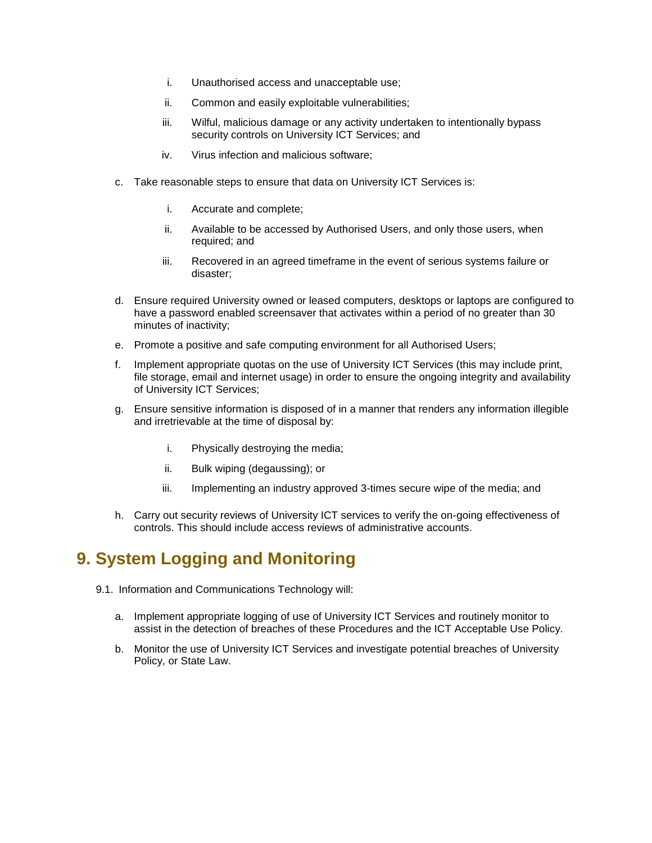- i. Unauthorised access and unacceptable use;
- ii. Common and easily exploitable vulnerabilities;
- iii. Wilful, malicious damage or any activity undertaken to intentionally bypass security controls on University ICT Services; and
- iv. Virus infection and malicious software;
- c. Take reasonable steps to ensure that data on University ICT Services is:
	- i. Accurate and complete;
	- ii. Available to be accessed by Authorised Users, and only those users, when required; and
	- iii. Recovered in an agreed timeframe in the event of serious systems failure or disaster;
- d. Ensure required University owned or leased computers, desktops or laptops are configured to have a password enabled screensaver that activates within a period of no greater than 30 minutes of inactivity;
- e. Promote a positive and safe computing environment for all Authorised Users;
- f. Implement appropriate quotas on the use of University ICT Services (this may include print, file storage, email and internet usage) in order to ensure the ongoing integrity and availability of University ICT Services;
- g. Ensure sensitive information is disposed of in a manner that renders any information illegible and irretrievable at the time of disposal by:
	- i. Physically destroying the media;
	- ii. Bulk wiping (degaussing); or
	- iii. Implementing an industry approved 3-times secure wipe of the media; and
- h. Carry out security reviews of University ICT services to verify the on-going effectiveness of controls. This should include access reviews of administrative accounts.

# <span id="page-5-0"></span>**9. System Logging and Monitoring**

- 9.1. Information and Communications Technology will:
	- a. Implement appropriate logging of use of University ICT Services and routinely monitor to assist in the detection of breaches of these Procedures and the ICT Acceptable Use Policy.
	- b. Monitor the use of University ICT Services and investigate potential breaches of University Policy, or State Law.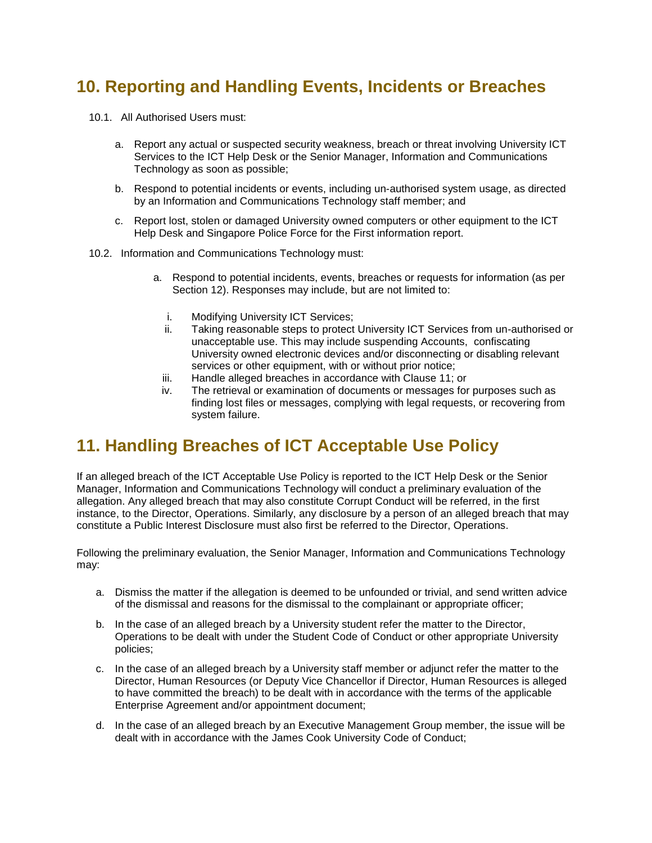## <span id="page-6-0"></span>**10. Reporting and Handling Events, Incidents or Breaches**

- 10.1. All Authorised Users must:
	- a. Report any actual or suspected security weakness, breach or threat involving University ICT Services to the ICT Help Desk or the Senior Manager, Information and Communications Technology as soon as possible;
	- b. Respond to potential incidents or events, including un-authorised system usage, as directed by an Information and Communications Technology staff member; and
	- c. Report lost, stolen or damaged University owned computers or other equipment to the ICT Help Desk and Singapore Police Force for the First information report.
- 10.2. Information and Communications Technology must:
	- a. Respond to potential incidents, events, breaches or requests for information (as per Section 12). Responses may include, but are not limited to:
		- i. Modifying University ICT Services;
		- ii. Taking reasonable steps to protect University ICT Services from un-authorised or unacceptable use. This may include suspending Accounts, confiscating University owned electronic devices and/or disconnecting or disabling relevant services or other equipment, with or without prior notice;
		- iii. Handle alleged breaches in accordance with Clause 11; or
		- iv. The retrieval or examination of documents or messages for purposes such as finding lost files or messages, complying with legal requests, or recovering from system failure.

### <span id="page-6-1"></span>**11. Handling Breaches of ICT Acceptable Use Policy**

If an alleged breach of the ICT Acceptable Use Policy is reported to the ICT Help Desk or the Senior Manager, Information and Communications Technology will conduct a preliminary evaluation of the allegation. Any alleged breach that may also constitute Corrupt Conduct will be referred, in the first instance, to the Director, Operations. Similarly, any disclosure by a person of an alleged breach that may constitute a Public Interest Disclosure must also first be referred to the Director, Operations.

Following the preliminary evaluation, the Senior Manager, Information and Communications Technology may:

- a. Dismiss the matter if the allegation is deemed to be unfounded or trivial, and send written advice of the dismissal and reasons for the dismissal to the complainant or appropriate officer;
- b. In the case of an alleged breach by a University student refer the matter to the Director, Operations to be dealt with under the Student Code of Conduct or other appropriate University policies;
- c. In the case of an alleged breach by a University staff member or adjunct refer the matter to the Director, Human Resources (or Deputy Vice Chancellor if Director, Human Resources is alleged to have committed the breach) to be dealt with in accordance with the terms of the applicable Enterprise Agreement and/or appointment document;
- d. In the case of an alleged breach by an Executive Management Group member, the issue will be dealt with in accordance with the James Cook University Code of Conduct;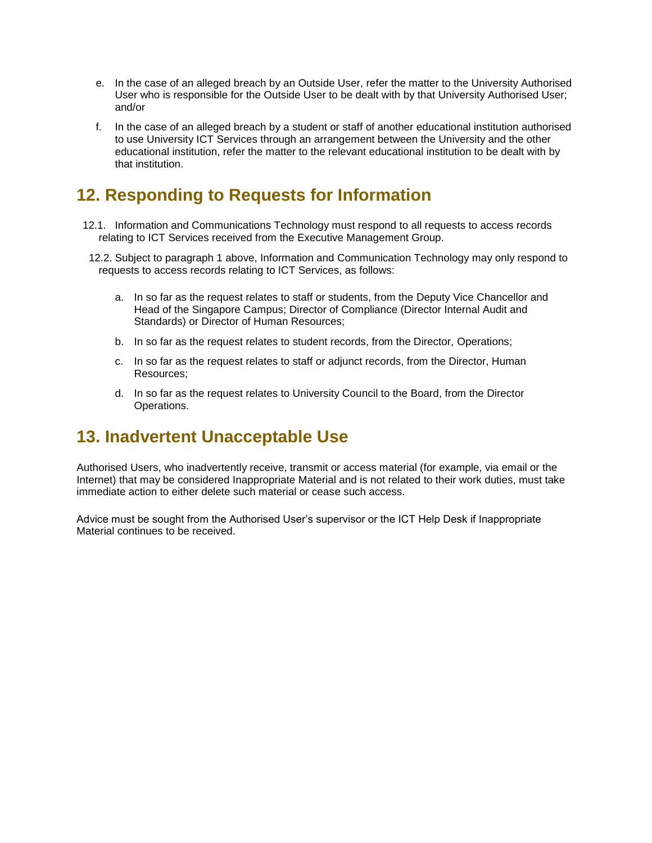- e. In the case of an alleged breach by an Outside User, refer the matter to the University Authorised User who is responsible for the Outside User to be dealt with by that University Authorised User; and/or
- f. In the case of an alleged breach by a student or staff of another educational institution authorised to use University ICT Services through an arrangement between the University and the other educational institution, refer the matter to the relevant educational institution to be dealt with by that institution.

# <span id="page-7-0"></span>**12. Responding to Requests for Information**

- 12.1. Information and Communications Technology must respond to all requests to access records relating to ICT Services received from the Executive Management Group.
- 12.2. Subject to paragraph 1 above, Information and Communication Technology may only respond to requests to access records relating to ICT Services, as follows:
	- a. In so far as the request relates to staff or students, from the Deputy Vice Chancellor and Head of the Singapore Campus; Director of Compliance (Director Internal Audit and Standards) or Director of Human Resources;
	- b. In so far as the request relates to student records, from the Director, Operations;
	- c. In so far as the request relates to staff or adjunct records, from the Director, Human Resources;
	- d. In so far as the request relates to University Council to the Board, from the Director Operations.

### <span id="page-7-1"></span>**13. Inadvertent Unacceptable Use**

Authorised Users, who inadvertently receive, transmit or access material (for example, via email or the Internet) that may be considered Inappropriate Material and is not related to their work duties, must take immediate action to either delete such material or cease such access.

Advice must be sought from the Authorised User's supervisor or the ICT Help Desk if Inappropriate Material continues to be received.